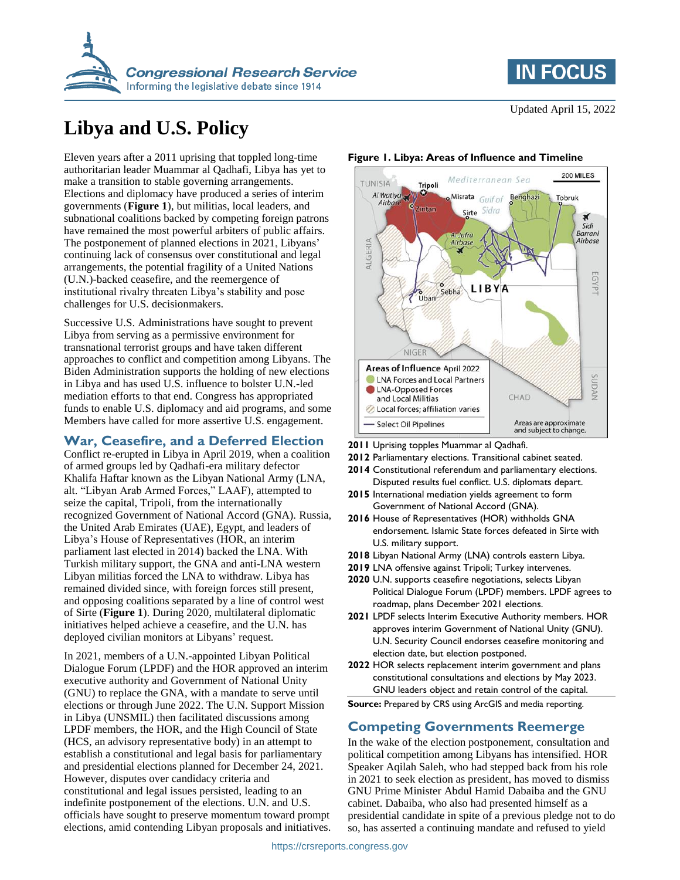



# **Libya and U.S. Policy**

Eleven years after a 2011 uprising that toppled long-time authoritarian leader Muammar al Qadhafi, Libya has yet to make a transition to stable governing arrangements. Elections and diplomacy have produced a series of interim governments (**[Figure 1](#page-0-0)**), but militias, local leaders, and subnational coalitions backed by competing foreign patrons have remained the most powerful arbiters of public affairs. The postponement of planned elections in 2021, Libyans' continuing lack of consensus over constitutional and legal arrangements, the potential fragility of a United Nations (U.N.)-backed ceasefire, and the reemergence of institutional rivalry threaten Libya's stability and pose challenges for U.S. decisionmakers.

Successive U.S. Administrations have sought to prevent Libya from serving as a permissive environment for transnational terrorist groups and have taken different approaches to conflict and competition among Libyans. The Biden Administration supports the holding of new elections in Libya and has used U.S. influence to bolster U.N.-led mediation efforts to that end. Congress has appropriated funds to enable U.S. diplomacy and aid programs, and some Members have called for more assertive U.S. engagement.

### **War, Ceasefire, and a Deferred Election**

Conflict re-erupted in Libya in April 2019, when a coalition of armed groups led by Qadhafi-era military defector Khalifa Haftar known as the Libyan National Army (LNA, alt. "Libyan Arab Armed Forces," LAAF), attempted to seize the capital, Tripoli, from the internationally recognized Government of National Accord (GNA). Russia, the United Arab Emirates (UAE), Egypt, and leaders of Libya's House of Representatives (HOR, an interim parliament last elected in 2014) backed the LNA. With Turkish military support, the GNA and anti-LNA western Libyan militias forced the LNA to withdraw. Libya has remained divided since, with foreign forces still present, and opposing coalitions separated by a line of control west of Sirte (**[Figure 1](#page-0-0)**). During 2020, multilateral diplomatic initiatives helped achieve a ceasefire, and the U.N. has deployed civilian monitors at Libyans' request.

In 2021, members of a U.N.-appointed Libyan Political Dialogue Forum (LPDF) and the HOR approved an interim executive authority and Government of National Unity (GNU) to replace the GNA, with a mandate to serve until elections or through June 2022. The U.N. Support Mission in Libya (UNSMIL) then facilitated discussions among LPDF members, the HOR, and the High Council of State (HCS, an advisory representative body) in an attempt to establish a constitutional and legal basis for parliamentary and presidential elections planned for December 24, 2021. However, disputes over candidacy criteria and constitutional and legal issues persisted, leading to an indefinite postponement of the elections. U.N. and U.S. officials have sought to preserve momentum toward prompt elections, amid contending Libyan proposals and initiatives.

#### 200 MILES Mediterranean Sea **AIZINITT** Tripoli Al Watiya Misrata Gulf of Tobruk Benghazi Airba intan Sidra Sirte × .<br>Sidi Barrani Al Jufra Airbase Airbas ALGERIA  $\overline{5}$ Ř LIBYA Sebha  $\frac{6}{10}$ **NIGER Areas of Influence April 2022** SUDAN **CLNA Forces and Local Partners** LNA-Opposed Forces CHAD and Local Militias Local forces; affiliation varies Select Oil Pipelines Areas are approximate and subject to change.

#### <span id="page-0-0"></span>**Figure 1. Libya: Areas of Influence and Timeline**

**2011** Uprising topples Muammar al Qadhafi.

- **2012** Parliamentary elections. Transitional cabinet seated.
- **2014** Constitutional referendum and parliamentary elections. Disputed results fuel conflict. U.S. diplomats depart.
- **2015** International mediation yields agreement to form Government of National Accord (GNA).
- **2016** House of Representatives (HOR) withholds GNA endorsement. Islamic State forces defeated in Sirte with U.S. military support.
- **2018** Libyan National Army (LNA) controls eastern Libya.
- **2019** LNA offensive against Tripoli; Turkey intervenes.
- **2020** U.N. supports ceasefire negotiations, selects Libyan Political Dialogue Forum (LPDF) members. LPDF agrees to roadmap, plans December 2021 elections.
- **2021** LPDF selects Interim Executive Authority members. HOR approves interim Government of National Unity (GNU). U.N. Security Council endorses ceasefire monitoring and election date, but election postponed.
- **2022** HOR selects replacement interim government and plans constitutional consultations and elections by May 2023. GNU leaders object and retain control of the capital.

**Source:** Prepared by CRS using ArcGIS and media reporting.

## **Competing Governments Reemerge**

In the wake of the election postponement, consultation and political competition among Libyans has intensified. HOR Speaker Aqilah Saleh, who had stepped back from his role in 2021 to seek election as president, has moved to dismiss GNU Prime Minister Abdul Hamid Dabaiba and the GNU cabinet. Dabaiba, who also had presented himself as a presidential candidate in spite of a previous pledge not to do so, has asserted a continuing mandate and refused to yield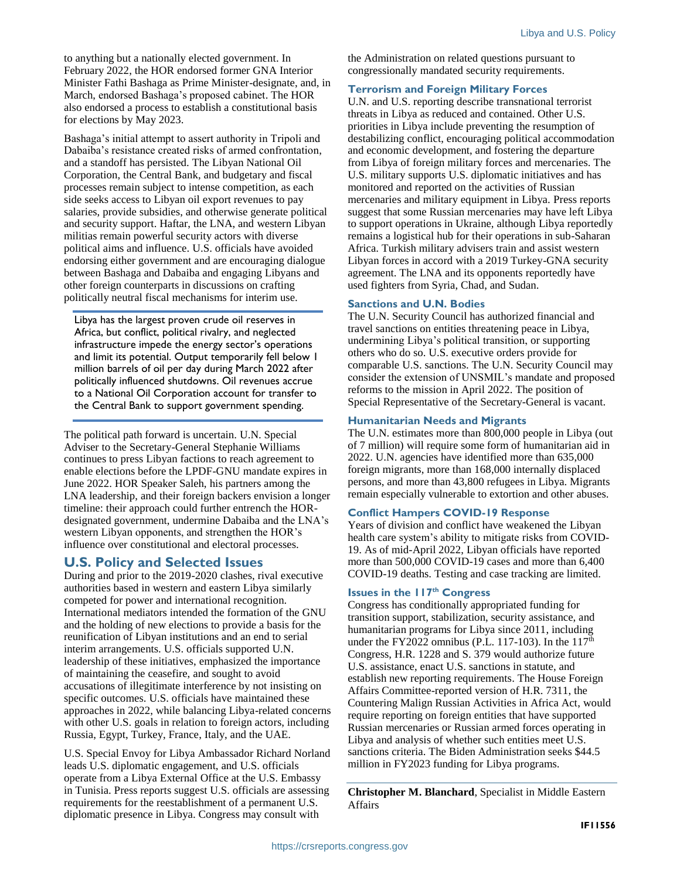to anything but a nationally elected government. In February 2022, the HOR endorsed former GNA Interior Minister Fathi Bashaga as Prime Minister-designate, and, in March, endorsed Bashaga's proposed cabinet. The HOR also endorsed a process to establish a constitutional basis for elections by May 2023.

Bashaga's initial attempt to assert authority in Tripoli and Dabaiba's resistance created risks of armed confrontation, and a standoff has persisted. The Libyan National Oil Corporation, the Central Bank, and budgetary and fiscal processes remain subject to intense competition, as each side seeks access to Libyan oil export revenues to pay salaries, provide subsidies, and otherwise generate political and security support. Haftar, the LNA, and western Libyan militias remain powerful security actors with diverse political aims and influence. U.S. officials have avoided endorsing either government and are encouraging dialogue between Bashaga and Dabaiba and engaging Libyans and other foreign counterparts in discussions on crafting politically neutral fiscal mechanisms for interim use.

Libya has the largest proven crude oil reserves in Africa, but conflict, political rivalry, and neglected infrastructure impede the energy sector's operations and limit its potential. Output temporarily fell below 1 million barrels of oil per day during March 2022 after politically influenced shutdowns. Oil revenues accrue to a National Oil Corporation account for transfer to the Central Bank to support government spending.

The political path forward is uncertain. U.N. Special Adviser to the Secretary-General Stephanie Williams continues to press Libyan factions to reach agreement to enable elections before the LPDF-GNU mandate expires in June 2022. HOR Speaker Saleh, his partners among the LNA leadership, and their foreign backers envision a longer timeline: their approach could further entrench the HORdesignated government, undermine Dabaiba and the LNA's western Libyan opponents, and strengthen the HOR's influence over constitutional and electoral processes.

## **U.S. Policy and Selected Issues**

During and prior to the 2019-2020 clashes, rival executive authorities based in western and eastern Libya similarly competed for power and international recognition. International mediators intended the formation of the GNU and the holding of new elections to provide a basis for the reunification of Libyan institutions and an end to serial interim arrangements. U.S. officials supported U.N. leadership of these initiatives, emphasized the importance of maintaining the ceasefire, and sought to avoid accusations of illegitimate interference by not insisting on specific outcomes. U.S. officials have maintained these approaches in 2022, while balancing Libya-related concerns with other U.S. goals in relation to foreign actors, including Russia, Egypt, Turkey, France, Italy, and the UAE.

U.S. Special Envoy for Libya Ambassador Richard Norland leads U.S. diplomatic engagement, and U.S. officials operate from a Libya External Office at the U.S. Embassy in Tunisia. Press reports suggest U.S. officials are assessing requirements for the reestablishment of a permanent U.S. diplomatic presence in Libya. Congress may consult with

the Administration on related questions pursuant to congressionally mandated security requirements.

#### **Terrorism and Foreign Military Forces**

U.N. and U.S. reporting describe transnational terrorist threats in Libya as reduced and contained. Other U.S. priorities in Libya include preventing the resumption of destabilizing conflict, encouraging political accommodation and economic development, and fostering the departure from Libya of foreign military forces and mercenaries. The U.S. military supports U.S. diplomatic initiatives and has monitored and reported on the activities of Russian mercenaries and military equipment in Libya. Press reports suggest that some Russian mercenaries may have left Libya to support operations in Ukraine, although Libya reportedly remains a logistical hub for their operations in sub-Saharan Africa. Turkish military advisers train and assist western Libyan forces in accord with a 2019 Turkey-GNA security agreement. The LNA and its opponents reportedly have used fighters from Syria, Chad, and Sudan.

#### **Sanctions and U.N. Bodies**

The U.N. Security Council has authorized financial and travel sanctions on entities threatening peace in Libya, undermining Libya's political transition, or supporting others who do so. U.S. executive orders provide for comparable U.S. sanctions. The U.N. Security Council may consider the extension of UNSMIL's mandate and proposed reforms to the mission in April 2022. The position of Special Representative of the Secretary-General is vacant.

#### **Humanitarian Needs and Migrants**

The U.N. estimates more than 800,000 people in Libya (out of 7 million) will require some form of humanitarian aid in 2022. U.N. agencies have identified more than 635,000 foreign migrants, more than 168,000 internally displaced persons, and more than 43,800 refugees in Libya. Migrants remain especially vulnerable to extortion and other abuses.

#### **Conflict Hampers COVID-19 Response**

Years of division and conflict have weakened the Libyan health care system's ability to mitigate risks from COVID-19. As of mid-April 2022, Libyan officials have reported more than 500,000 COVID-19 cases and more than 6,400 COVID-19 deaths. Testing and case tracking are limited.

#### **Issues in the 117th Congress**

Congress has conditionally appropriated funding for transition support, stabilization, security assistance, and humanitarian programs for Libya since 2011, including under the FY2022 omnibus (P.L. 117-103). In the  $117<sup>th</sup>$ Congress, H.R. 1228 and S. 379 would authorize future U.S. assistance, enact U.S. sanctions in statute, and establish new reporting requirements. The House Foreign Affairs Committee-reported version of H.R. 7311, the Countering Malign Russian Activities in Africa Act, would require reporting on foreign entities that have supported Russian mercenaries or Russian armed forces operating in Libya and analysis of whether such entities meet U.S. sanctions criteria. The Biden Administration seeks \$44.5 million in FY2023 funding for Libya programs.

**Christopher M. Blanchard**, Specialist in Middle Eastern Affairs